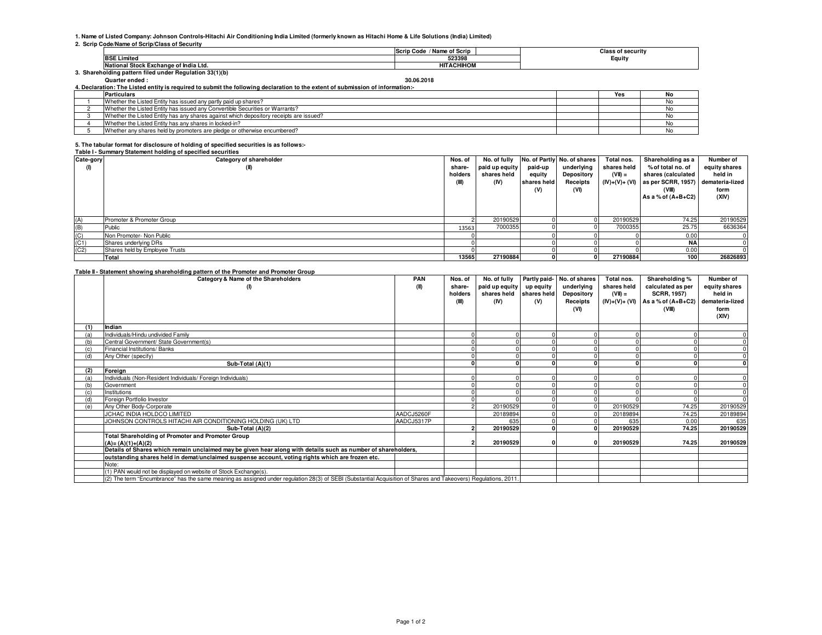# **1. Name of Listed Company: Johnson Controls-Hitachi Air Conditioning India Limited (formerly known as Hitachi Home & Life Solutions (India) Limited) 2. Scrip Code/Name of Scrip/Class of Security**

|                                                        | / Name of Scrip<br>Scrip Code | <b>Class of security</b> |
|--------------------------------------------------------|-------------------------------|--------------------------|
| <b>BSE Limited</b>                                     | 523398                        | Equity                   |
| il Stock Exchange of India Ltd.<br>$-$<br>пчанопа      | <b>HITACHIHOM</b>             |                          |
| . Shareholding pattern filed under Regulation 33(1)(b) |                               |                          |

**Quarter ended : 30.06.20184. Declaration: The Listed entity is required to submit the following declaration to the extent of submission of information:-**

| יווטואוו וטווי וטופטווואט וט ושטעען נו וטואט ווי בריט וויוואט טו וויוואט ט וויוואט ווי ווי האט א זי ווי ווי ווי |  |     |    |  |  |  |  |  |
|-----------------------------------------------------------------------------------------------------------------|--|-----|----|--|--|--|--|--|
| <b>Particulars</b>                                                                                              |  | Yes | NC |  |  |  |  |  |
| Whether the Listed Entity has issued any partly paid up shares?                                                 |  |     |    |  |  |  |  |  |
| Whether the Listed Entity has issued any Convertible Securities or Warrants?                                    |  |     |    |  |  |  |  |  |
| Whether the Listed Entity has any shares against which depository receipts are issued?                          |  |     |    |  |  |  |  |  |
| Whether the Listed Entity has any shares in locked-in?                                                          |  |     |    |  |  |  |  |  |
| Whether any shares held by promoters are pledge or otherwise encumbered?                                        |  |     |    |  |  |  |  |  |

# **5. The tabular format for disclosure of holding of specified securities is as follows:-**

#### **Table I - Summary Statement holding of specified securities**

| Cate-gory | Category of shareholder        | Nos. of | No. of fully   |             | No. of Partly No. of shares | Total nos.     | Shareholding as a    | Number of       |
|-----------|--------------------------------|---------|----------------|-------------|-----------------------------|----------------|----------------------|-----------------|
| (1)       | (II)                           | share-  | paid up equity | paid-up     | underlying                  | shares held    | % of total no. of    | equity shares   |
|           |                                | holders | shares held    | equity      | Depository                  | $(VII) =$      | shares (calculated   | held in         |
|           |                                | (III)   | (IV)           | shares held | Receipts                    | $(IV)+(V)+(V)$ | as per SCRR, 1957)   | demateria-lized |
|           |                                |         |                | (V)         | (VI)                        |                |                      | form            |
|           |                                |         |                |             |                             |                | As a % of $(A+B+C2)$ | (XIV)           |
|           |                                |         |                |             |                             |                |                      |                 |
|           |                                |         |                |             |                             |                |                      |                 |
| (A)       | Promoter & Promoter Group      |         | 20190529       |             |                             | 20190529       | 74.25                | 20190529        |
| (B)       | Public                         | 13563   | 7000355        |             |                             | 7000355        | 25.75                | 6636364         |
| (C)       | Non Promoter- Non Public       |         |                |             |                             |                | 0.00                 |                 |
| (C1)      | Shares underlying DRs          |         |                |             |                             |                | <b>NA</b>            |                 |
| (C2)      | Shares held by Employee Trusts |         |                |             |                             |                | 0.00                 |                 |
|           | Total                          | 13565   | 27190884       |             |                             | 27190884       | 100                  | 26826893        |

### **Table II - Statement showing shareholding pattern of the Promoter and Promoter Group**

|     | Table if - Statement showing shareholding pattern of the Promoter and Promoter Group<br>Category & Name of the Shareholders                                    | <b>PAN</b> | Nos. of | No. of fully   |             | Partly paid- No. of shares | Total nos.  | Shareholding %                       | Number of       |
|-----|----------------------------------------------------------------------------------------------------------------------------------------------------------------|------------|---------|----------------|-------------|----------------------------|-------------|--------------------------------------|-----------------|
|     | $($ I)                                                                                                                                                         | (II)       | share-  | paid up equity | up equity   | underlying                 | shares held | calculated as per                    | equity shares   |
|     |                                                                                                                                                                |            | holders | shares held    | shares held | Depository                 | $(VII) =$   | <b>SCRR, 1957)</b>                   | held in         |
|     |                                                                                                                                                                |            |         | (IV)           | (V)         |                            |             | $(IV)+(V)+(VI)$ As a % of $(A+B+C2)$ | demateria-lized |
|     |                                                                                                                                                                |            | (III)   |                |             | Receipts<br>(VI)           |             | (VIII)                               | form            |
|     |                                                                                                                                                                |            |         |                |             |                            |             |                                      | (XIV)           |
|     |                                                                                                                                                                |            |         |                |             |                            |             |                                      |                 |
|     | Indian                                                                                                                                                         |            |         |                |             |                            |             |                                      |                 |
|     | Individuals/Hindu undivided Family                                                                                                                             |            |         |                |             |                            |             |                                      |                 |
|     | Central Government/ State Government(s)                                                                                                                        |            |         |                |             |                            |             |                                      |                 |
|     | Financial Institutions/Banks                                                                                                                                   |            |         |                |             |                            |             |                                      |                 |
| (d) | Any Other (specify)                                                                                                                                            |            |         |                |             |                            |             |                                      |                 |
|     | Sub-Total (A)(1)                                                                                                                                               |            |         |                |             |                            |             |                                      |                 |
| (2) | Foreign                                                                                                                                                        |            |         |                |             |                            |             |                                      |                 |
|     | Individuals (Non-Resident Individuals/ Foreign Individuals)                                                                                                    |            |         |                |             |                            |             |                                      |                 |
|     | Government                                                                                                                                                     |            |         |                |             |                            |             |                                      |                 |
|     | Institutions                                                                                                                                                   |            |         |                |             |                            |             |                                      |                 |
|     | Foreign Portfolio Investor                                                                                                                                     |            |         |                |             |                            |             |                                      |                 |
| (e) | Any Other Body-Corporate                                                                                                                                       |            | $\sim$  | 20190529       |             |                            | 20190529    | 74.25                                | 20190529        |
|     | JCHAC INDIA HOLDCO LIMITED                                                                                                                                     | AADCJ5260F |         | 20189894       |             |                            | 20189894    | 74.25                                | 20189894        |
|     | JOHNSON CONTROLS HITACHI AIR CONDITIONING HOLDING (UK) LTD                                                                                                     | AADCJ5317P |         | 635            |             |                            | 635         | 0.00                                 | 635             |
|     | Sub-Total (A)(2)                                                                                                                                               |            |         | 20190529       |             |                            | 20190529    | 74.25                                | 20190529        |
|     | <b>Total Shareholding of Promoter and Promoter Group</b>                                                                                                       |            |         |                |             |                            |             |                                      |                 |
|     | $(A)=(A)(1)+(A)(2)$                                                                                                                                            |            |         | 20190529       |             |                            | 20190529    | 74.25                                | 20190529        |
|     | Details of Shares which remain unclaimed may be given hear along with details such as number of shareholders,                                                  |            |         |                |             |                            |             |                                      |                 |
|     | outstanding shares held in demat/unclaimed suspense account, voting rights which are frozen etc.                                                               |            |         |                |             |                            |             |                                      |                 |
|     | Note:                                                                                                                                                          |            |         |                |             |                            |             |                                      |                 |
|     | (1) PAN would not be displayed on website of Stock Exchange(s).                                                                                                |            |         |                |             |                            |             |                                      |                 |
|     | (2) The term "Encumbrance" has the same meaning as assigned under regulation 28(3) of SEBI (Substantial Acquisition of Shares and Takeovers) Regulations, 2011 |            |         |                |             |                            |             |                                      |                 |